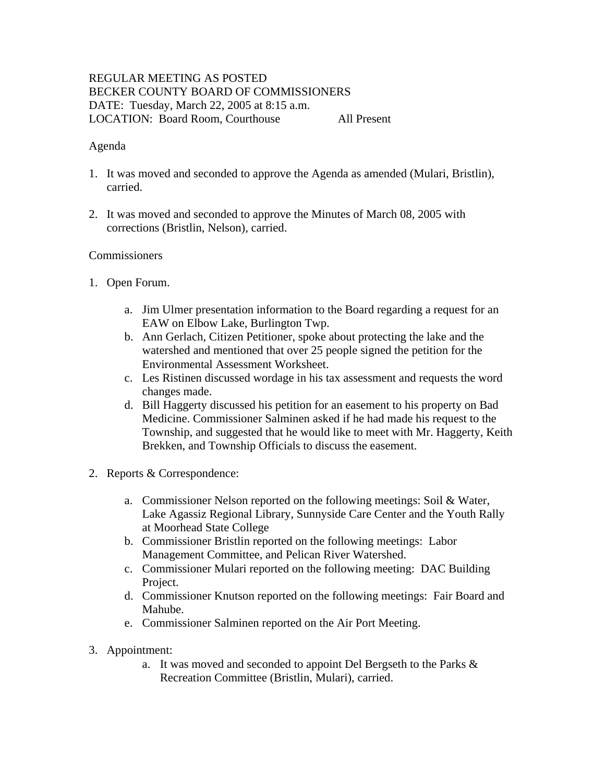# REGULAR MEETING AS POSTED BECKER COUNTY BOARD OF COMMISSIONERS DATE: Tuesday, March 22, 2005 at 8:15 a.m. LOCATION: Board Room, Courthouse All Present

### Agenda

- 1. It was moved and seconded to approve the Agenda as amended (Mulari, Bristlin), carried.
- 2. It was moved and seconded to approve the Minutes of March 08, 2005 with corrections (Bristlin, Nelson), carried.

### **Commissioners**

- 1. Open Forum.
	- a. Jim Ulmer presentation information to the Board regarding a request for an EAW on Elbow Lake, Burlington Twp.
	- b. Ann Gerlach, Citizen Petitioner, spoke about protecting the lake and the watershed and mentioned that over 25 people signed the petition for the Environmental Assessment Worksheet.
	- c. Les Ristinen discussed wordage in his tax assessment and requests the word changes made.
	- d. Bill Haggerty discussed his petition for an easement to his property on Bad Medicine. Commissioner Salminen asked if he had made his request to the Township, and suggested that he would like to meet with Mr. Haggerty, Keith Brekken, and Township Officials to discuss the easement.
- 2. Reports & Correspondence:
	- a. Commissioner Nelson reported on the following meetings: Soil & Water, Lake Agassiz Regional Library, Sunnyside Care Center and the Youth Rally at Moorhead State College
	- b. Commissioner Bristlin reported on the following meetings: Labor Management Committee, and Pelican River Watershed.
	- c. Commissioner Mulari reported on the following meeting: DAC Building Project.
	- d. Commissioner Knutson reported on the following meetings: Fair Board and Mahube.
	- e. Commissioner Salminen reported on the Air Port Meeting.
- 3. Appointment:
	- a. It was moved and seconded to appoint Del Bergseth to the Parks & Recreation Committee (Bristlin, Mulari), carried.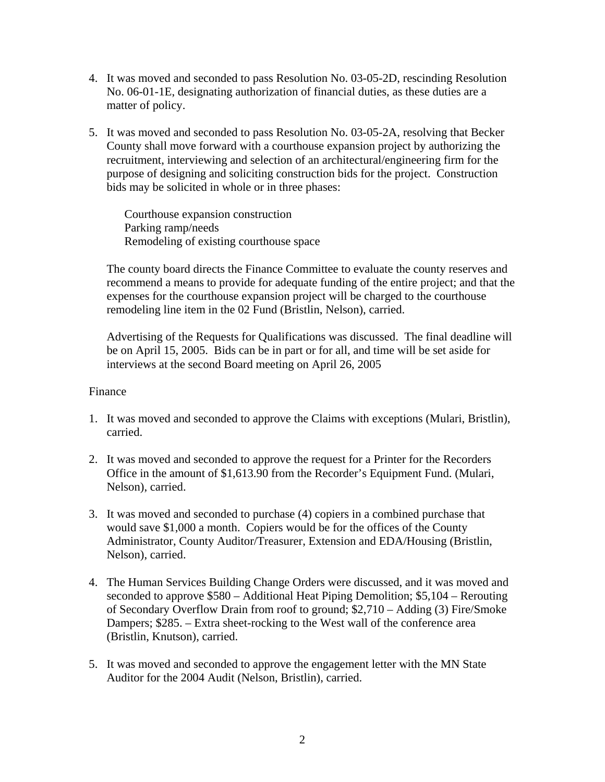- 4. It was moved and seconded to pass Resolution No. 03-05-2D, rescinding Resolution No. 06-01-1E, designating authorization of financial duties, as these duties are a matter of policy.
- 5. It was moved and seconded to pass Resolution No. 03-05-2A, resolving that Becker County shall move forward with a courthouse expansion project by authorizing the recruitment, interviewing and selection of an architectural/engineering firm for the purpose of designing and soliciting construction bids for the project. Construction bids may be solicited in whole or in three phases:

Courthouse expansion construction Parking ramp/needs Remodeling of existing courthouse space

The county board directs the Finance Committee to evaluate the county reserves and recommend a means to provide for adequate funding of the entire project; and that the expenses for the courthouse expansion project will be charged to the courthouse remodeling line item in the 02 Fund (Bristlin, Nelson), carried.

Advertising of the Requests for Qualifications was discussed. The final deadline will be on April 15, 2005. Bids can be in part or for all, and time will be set aside for interviews at the second Board meeting on April 26, 2005

### Finance

- 1. It was moved and seconded to approve the Claims with exceptions (Mulari, Bristlin), carried.
- 2. It was moved and seconded to approve the request for a Printer for the Recorders Office in the amount of \$1,613.90 from the Recorder's Equipment Fund. (Mulari, Nelson), carried.
- 3. It was moved and seconded to purchase (4) copiers in a combined purchase that would save \$1,000 a month. Copiers would be for the offices of the County Administrator, County Auditor/Treasurer, Extension and EDA/Housing (Bristlin, Nelson), carried.
- 4. The Human Services Building Change Orders were discussed, and it was moved and seconded to approve \$580 – Additional Heat Piping Demolition; \$5,104 – Rerouting of Secondary Overflow Drain from roof to ground; \$2,710 – Adding (3) Fire/Smoke Dampers; \$285. – Extra sheet-rocking to the West wall of the conference area (Bristlin, Knutson), carried.
- 5. It was moved and seconded to approve the engagement letter with the MN State Auditor for the 2004 Audit (Nelson, Bristlin), carried.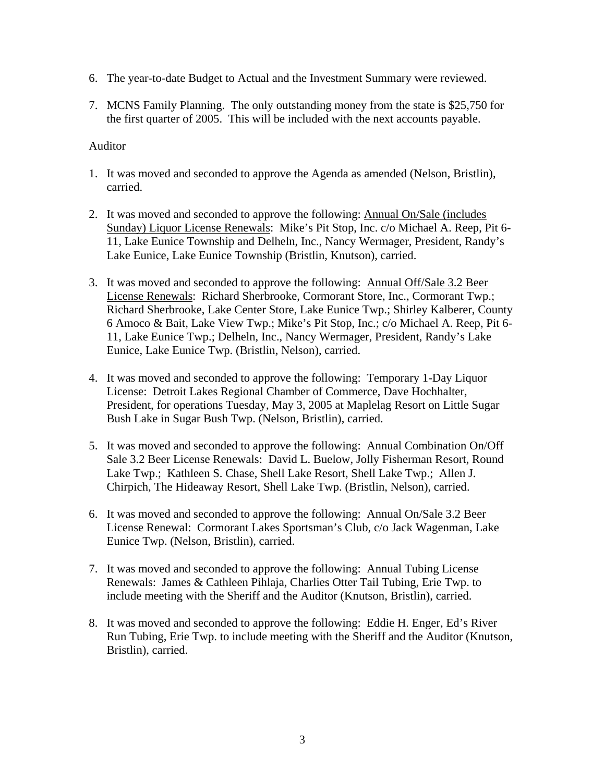- 6. The year-to-date Budget to Actual and the Investment Summary were reviewed.
- 7. MCNS Family Planning. The only outstanding money from the state is \$25,750 for the first quarter of 2005. This will be included with the next accounts payable.

# Auditor

- 1. It was moved and seconded to approve the Agenda as amended (Nelson, Bristlin), carried.
- 2. It was moved and seconded to approve the following: Annual On/Sale (includes Sunday) Liquor License Renewals: Mike's Pit Stop, Inc. c/o Michael A. Reep, Pit 6- 11, Lake Eunice Township and Delheln, Inc., Nancy Wermager, President, Randy's Lake Eunice, Lake Eunice Township (Bristlin, Knutson), carried.
- 3. It was moved and seconded to approve the following: Annual Off/Sale 3.2 Beer License Renewals: Richard Sherbrooke, Cormorant Store, Inc., Cormorant Twp.; Richard Sherbrooke, Lake Center Store, Lake Eunice Twp.; Shirley Kalberer, County 6 Amoco & Bait, Lake View Twp.; Mike's Pit Stop, Inc.; c/o Michael A. Reep, Pit 6- 11, Lake Eunice Twp.; Delheln, Inc., Nancy Wermager, President, Randy's Lake Eunice, Lake Eunice Twp. (Bristlin, Nelson), carried.
- 4. It was moved and seconded to approve the following: Temporary 1-Day Liquor License: Detroit Lakes Regional Chamber of Commerce, Dave Hochhalter, President, for operations Tuesday, May 3, 2005 at Maplelag Resort on Little Sugar Bush Lake in Sugar Bush Twp. (Nelson, Bristlin), carried.
- 5. It was moved and seconded to approve the following: Annual Combination On/Off Sale 3.2 Beer License Renewals: David L. Buelow, Jolly Fisherman Resort, Round Lake Twp.; Kathleen S. Chase, Shell Lake Resort, Shell Lake Twp.; Allen J. Chirpich, The Hideaway Resort, Shell Lake Twp. (Bristlin, Nelson), carried.
- 6. It was moved and seconded to approve the following: Annual On/Sale 3.2 Beer License Renewal: Cormorant Lakes Sportsman's Club, c/o Jack Wagenman, Lake Eunice Twp. (Nelson, Bristlin), carried.
- 7. It was moved and seconded to approve the following: Annual Tubing License Renewals: James & Cathleen Pihlaja, Charlies Otter Tail Tubing, Erie Twp. to include meeting with the Sheriff and the Auditor (Knutson, Bristlin), carried.
- 8. It was moved and seconded to approve the following: Eddie H. Enger, Ed's River Run Tubing, Erie Twp. to include meeting with the Sheriff and the Auditor (Knutson, Bristlin), carried.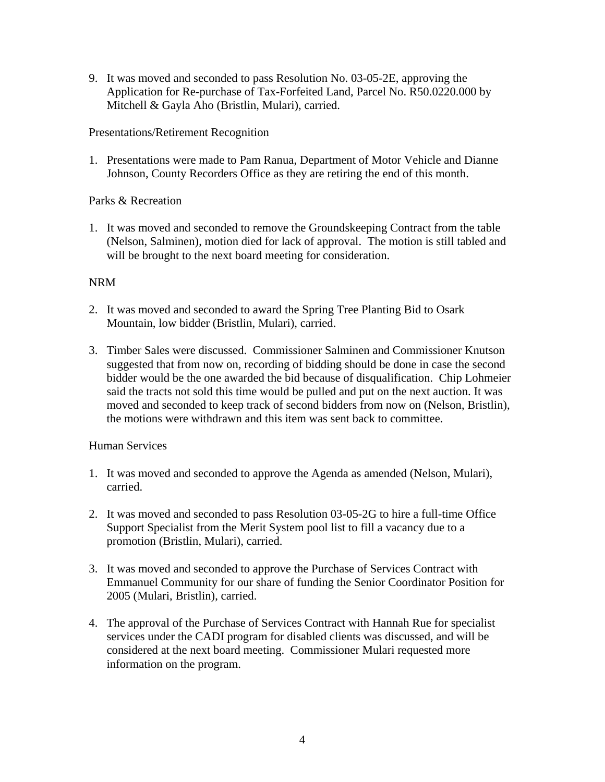9. It was moved and seconded to pass Resolution No. 03-05-2E, approving the Application for Re-purchase of Tax-Forfeited Land, Parcel No. R50.0220.000 by Mitchell & Gayla Aho (Bristlin, Mulari), carried.

# Presentations/Retirement Recognition

1. Presentations were made to Pam Ranua, Department of Motor Vehicle and Dianne Johnson, County Recorders Office as they are retiring the end of this month.

# Parks & Recreation

1. It was moved and seconded to remove the Groundskeeping Contract from the table (Nelson, Salminen), motion died for lack of approval. The motion is still tabled and will be brought to the next board meeting for consideration.

# NRM

- 2. It was moved and seconded to award the Spring Tree Planting Bid to Osark Mountain, low bidder (Bristlin, Mulari), carried.
- 3. Timber Sales were discussed. Commissioner Salminen and Commissioner Knutson suggested that from now on, recording of bidding should be done in case the second bidder would be the one awarded the bid because of disqualification. Chip Lohmeier said the tracts not sold this time would be pulled and put on the next auction. It was moved and seconded to keep track of second bidders from now on (Nelson, Bristlin), the motions were withdrawn and this item was sent back to committee.

### Human Services

- 1. It was moved and seconded to approve the Agenda as amended (Nelson, Mulari), carried.
- 2. It was moved and seconded to pass Resolution 03-05-2G to hire a full-time Office Support Specialist from the Merit System pool list to fill a vacancy due to a promotion (Bristlin, Mulari), carried.
- 3. It was moved and seconded to approve the Purchase of Services Contract with Emmanuel Community for our share of funding the Senior Coordinator Position for 2005 (Mulari, Bristlin), carried.
- 4. The approval of the Purchase of Services Contract with Hannah Rue for specialist services under the CADI program for disabled clients was discussed, and will be considered at the next board meeting. Commissioner Mulari requested more information on the program.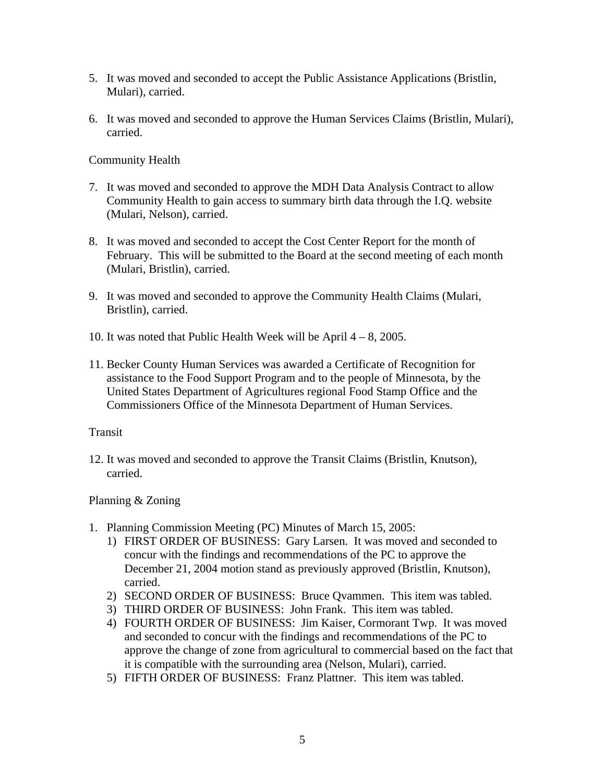- 5. It was moved and seconded to accept the Public Assistance Applications (Bristlin, Mulari), carried.
- 6. It was moved and seconded to approve the Human Services Claims (Bristlin, Mulari), carried.

Community Health

- 7. It was moved and seconded to approve the MDH Data Analysis Contract to allow Community Health to gain access to summary birth data through the I.Q. website (Mulari, Nelson), carried.
- 8. It was moved and seconded to accept the Cost Center Report for the month of February. This will be submitted to the Board at the second meeting of each month (Mulari, Bristlin), carried.
- 9. It was moved and seconded to approve the Community Health Claims (Mulari, Bristlin), carried.
- 10. It was noted that Public Health Week will be April 4 8, 2005.
- 11. Becker County Human Services was awarded a Certificate of Recognition for assistance to the Food Support Program and to the people of Minnesota, by the United States Department of Agricultures regional Food Stamp Office and the Commissioners Office of the Minnesota Department of Human Services.

### Transit

12. It was moved and seconded to approve the Transit Claims (Bristlin, Knutson), carried.

# Planning & Zoning

- 1. Planning Commission Meeting (PC) Minutes of March 15, 2005:
	- 1) FIRST ORDER OF BUSINESS: Gary Larsen. It was moved and seconded to concur with the findings and recommendations of the PC to approve the December 21, 2004 motion stand as previously approved (Bristlin, Knutson), carried.
	- 2) SECOND ORDER OF BUSINESS: Bruce Qvammen. This item was tabled.
	- 3) THIRD ORDER OF BUSINESS: John Frank. This item was tabled.
	- 4) FOURTH ORDER OF BUSINESS: Jim Kaiser, Cormorant Twp. It was moved and seconded to concur with the findings and recommendations of the PC to approve the change of zone from agricultural to commercial based on the fact that it is compatible with the surrounding area (Nelson, Mulari), carried.
	- 5) FIFTH ORDER OF BUSINESS: Franz Plattner. This item was tabled.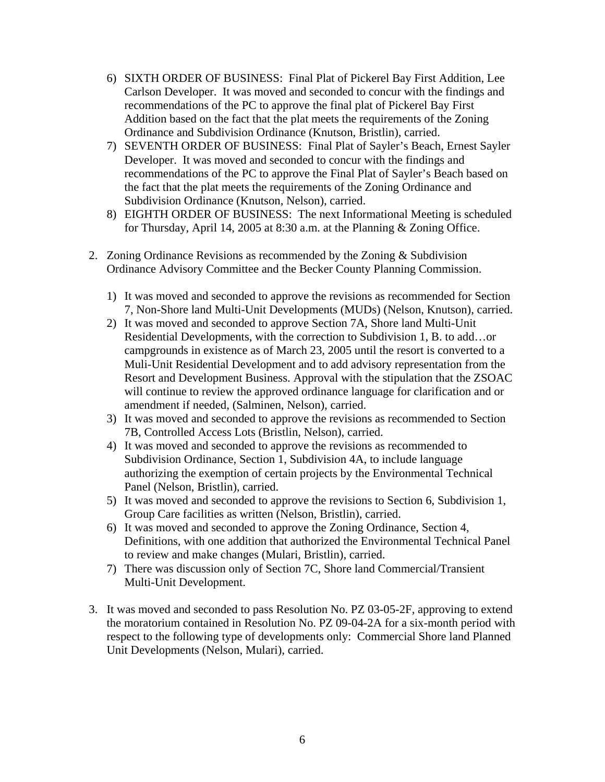- 6) SIXTH ORDER OF BUSINESS: Final Plat of Pickerel Bay First Addition, Lee Carlson Developer. It was moved and seconded to concur with the findings and recommendations of the PC to approve the final plat of Pickerel Bay First Addition based on the fact that the plat meets the requirements of the Zoning Ordinance and Subdivision Ordinance (Knutson, Bristlin), carried.
- 7) SEVENTH ORDER OF BUSINESS: Final Plat of Sayler's Beach, Ernest Sayler Developer. It was moved and seconded to concur with the findings and recommendations of the PC to approve the Final Plat of Sayler's Beach based on the fact that the plat meets the requirements of the Zoning Ordinance and Subdivision Ordinance (Knutson, Nelson), carried.
- 8) EIGHTH ORDER OF BUSINESS: The next Informational Meeting is scheduled for Thursday, April 14, 2005 at 8:30 a.m. at the Planning & Zoning Office.
- 2. Zoning Ordinance Revisions as recommended by the Zoning & Subdivision Ordinance Advisory Committee and the Becker County Planning Commission.
	- 1) It was moved and seconded to approve the revisions as recommended for Section 7, Non-Shore land Multi-Unit Developments (MUDs) (Nelson, Knutson), carried.
	- 2) It was moved and seconded to approve Section 7A, Shore land Multi-Unit Residential Developments, with the correction to Subdivision 1, B. to add…or campgrounds in existence as of March 23, 2005 until the resort is converted to a Muli-Unit Residential Development and to add advisory representation from the Resort and Development Business. Approval with the stipulation that the ZSOAC will continue to review the approved ordinance language for clarification and or amendment if needed, (Salminen, Nelson), carried.
	- 3) It was moved and seconded to approve the revisions as recommended to Section 7B, Controlled Access Lots (Bristlin, Nelson), carried.
	- 4) It was moved and seconded to approve the revisions as recommended to Subdivision Ordinance, Section 1, Subdivision 4A, to include language authorizing the exemption of certain projects by the Environmental Technical Panel (Nelson, Bristlin), carried.
	- 5) It was moved and seconded to approve the revisions to Section 6, Subdivision 1, Group Care facilities as written (Nelson, Bristlin), carried.
	- 6) It was moved and seconded to approve the Zoning Ordinance, Section 4, Definitions, with one addition that authorized the Environmental Technical Panel to review and make changes (Mulari, Bristlin), carried.
	- 7) There was discussion only of Section 7C, Shore land Commercial/Transient Multi-Unit Development.
- 3. It was moved and seconded to pass Resolution No. PZ 03-05-2F, approving to extend the moratorium contained in Resolution No. PZ 09-04-2A for a six-month period with respect to the following type of developments only: Commercial Shore land Planned Unit Developments (Nelson, Mulari), carried.